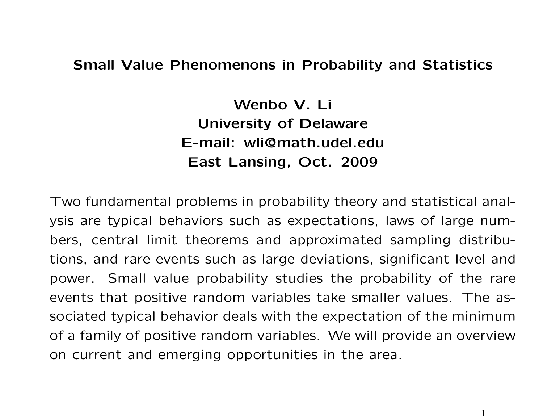#### Small Value Phenomenons in Probability and Statistics

Wenbo V. Li University of Delaware E-mail: wli@math.udel.edu East Lansing, Oct. 2009

Two fundamental problems in probability theory and statistical analysis are typical behaviors such as expectations, laws of large numbers, central limit theorems and approximated sampling distributions, and rare events such as large deviations, significant level and power. Small value probability studies the probability of the rare events that positive random variables take smaller values. The associated typical behavior deals with the expectation of the minimum of a family of positive random variables. We will provide an overview on current and emerging opportunities in the area.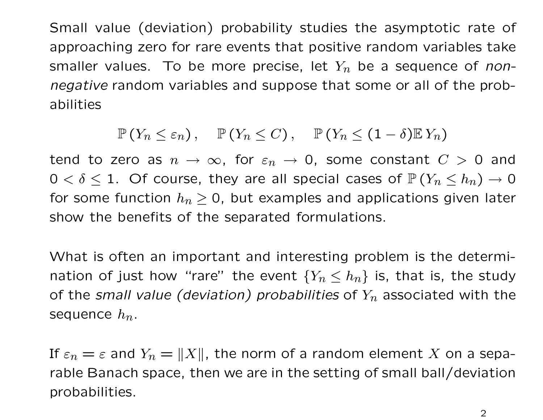Small value (deviation) probability studies the asymptotic rate of approaching zero for rare events that positive random variables take smaller values. To be more precise, let  $Y_n$  be a sequence of nonnegative random variables and suppose that some or all of the probabilities

 $\mathbb{P}(Y_n \leq \varepsilon_n), \quad \mathbb{P}(Y_n \leq C), \quad \mathbb{P}(Y_n \leq (1-\delta)\mathbb{E} Y_n)$ 

tend to zero as  $n \to \infty$ , for  $\varepsilon_n \to 0$ , some constant  $C > 0$  and  $0 < \delta \leq 1$ . Of course, they are all special cases of  $\mathbb{P}\left(Y_n \leq h_n\right) \to 0$ for some function  $h_n \geq 0$ , but examples and applications given later show the benefits of the separated formulations.

What is often an important and interesting problem is the determination of just how "rare" the event  $\{Y_n \leq h_n\}$  is, that is, the study of the small value (deviation) probabilities of  $Y_n$  associated with the sequence  $h_n$ .

If  $\varepsilon_n = \varepsilon$  and  $Y_n = ||X||$ , the norm of a random element X on a separable Banach space, then we are in the setting of small ball/deviation probabilities.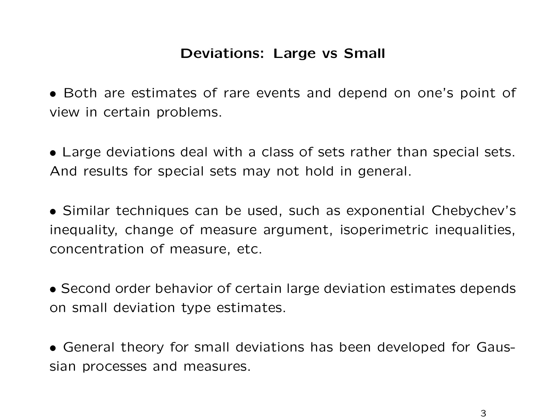## Deviations: Large vs Small

• Both are estimates of rare events and depend on one's point of view in certain problems.

• Large deviations deal with a class of sets rather than special sets. And results for special sets may not hold in general.

• Similar techniques can be used, such as exponential Chebychev's inequality, change of measure argument, isoperimetric inequalities, concentration of measure, etc.

• Second order behavior of certain large deviation estimates depends on small deviation type estimates.

• General theory for small deviations has been developed for Gaussian processes and measures.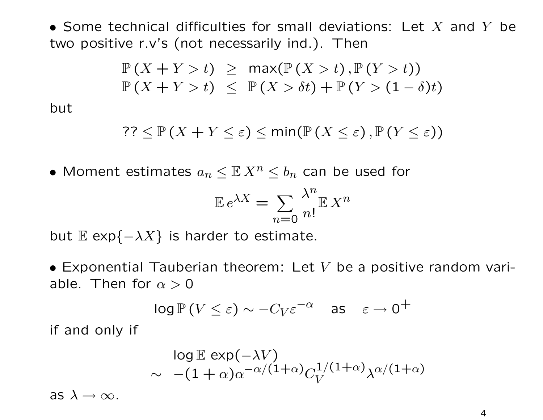• Some technical difficulties for small deviations: Let  $X$  and  $Y$  be two positive r.v's (not necessarily ind.). Then

$$
\mathbb{P}(X + Y > t) \geq \max(\mathbb{P}(X > t), \mathbb{P}(Y > t))
$$
  

$$
\mathbb{P}(X + Y > t) \leq \mathbb{P}(X > \delta t) + \mathbb{P}(Y > (1 - \delta)t)
$$

but

$$
?? \leq \mathbb{P}\left(X + Y \leq \varepsilon\right) \leq \min(\mathbb{P}\left(X \leq \varepsilon\right), \mathbb{P}\left(Y \leq \varepsilon\right))
$$

• Moment estimates  $a_n \leq \mathbb{E} X^n \leq b_n$  can be used for

$$
\mathbb{E} e^{\lambda X} = \sum_{n=0} \frac{\lambda^n}{n!} \mathbb{E} X^n
$$

but  $E \exp{-\lambda X}$  is harder to estimate.

• Exponential Tauberian theorem: Let  $V$  be a positive random variable. Then for  $\alpha > 0$ 

$$
\log \mathbb{P}\left(V \leq \varepsilon\right) \sim -C_V \varepsilon^{-\alpha} \quad \text{as} \quad \varepsilon \to 0^+
$$

if and only if

$$
\log \mathbb{E} \exp(-\lambda V) \sim -(1+\alpha)\alpha^{-\alpha/(1+\alpha)}C_V^{1/(1+\alpha)}\lambda^{\alpha/(1+\alpha)}
$$

as  $\lambda \to \infty$ .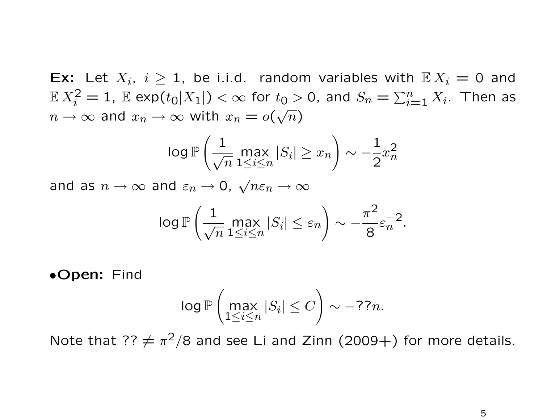Ex: Let  $X_i$ ,  $i \geq 1$ , be i.i.d. random variables with  $\mathbb{E} X_i = 0$  and  $\mathbb{E}\, X_i^2 = 1.$   $\mathbb{E}\, \exp(t_0|X_1|) < \infty$  for  $t_0 > 0.$  and  $S_n = \sum_{i=1}^n X_i.$  Then as  $n\to\infty$  and  $x_n\to\infty$  with  $x_n=o(\sqrt{n})$ ∪∪<br>⁄

$$
\log \mathbb{P}\left(\frac{1}{\sqrt{n}}\max_{1\leq i\leq n}|S_i|\geq x_n\right)\sim -\frac{1}{2}x_n^2
$$

and as  $n \to \infty$  and  $\varepsilon_n \to 0$ ,  $\sqrt{n} \varepsilon_n \to \infty$ 

$$
\log \mathbb{P}\left(\frac{1}{\sqrt{n}}\max_{1\leq i\leq n}|S_i|\leq \varepsilon_n\right)\sim -\frac{\pi^2}{8}\varepsilon_n^{-2}.
$$

•Open: Find

$$
\log \mathbb{P}\left(\max_{1 \le i \le n} |S_i| \le C\right) \sim -??n.
$$

Note that ??  $\neq \pi^2/8$  and see Li and Zinn (2009+) for more details.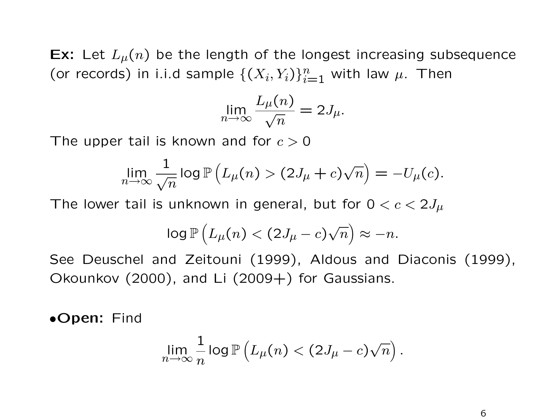**Ex:** Let  $L_{\mu}(n)$  be the length of the longest increasing subsequence (or records) in i.i.d sample  $\{(X_i,Y_i)\}_{i=1}^n$  with law  $\mu$ . Then

$$
\lim_{n \to \infty} \frac{L_{\mu}(n)}{\sqrt{n}} = 2J_{\mu}.
$$

The upper tail is known and for  $c > 0$ 

$$
\lim_{n\to\infty}\frac{1}{\sqrt{n}}\log\mathbb{P}\left(L_{\mu}(n)>(2J_{\mu}+c)\sqrt{n}\right)=-U_{\mu}(c).
$$

The lower tail is unknown in general, but for  $0 < c < 2J_\mu$ 

$$
\log \mathbb{P}\left(L_{\mu}(n) < (2J_{\mu} - c)\sqrt{n}\right) \approx -n.
$$

See Deuschel and Zeitouni (1999), Aldous and Diaconis (1999), Okounkov (2000), and Li (2009+) for Gaussians.

•Open: Find

$$
\lim_{n\to\infty}\frac{1}{n}\log\mathbb{P}\left(L_{\mu}(n)<(2J_{\mu}-c)\sqrt{n}\right).
$$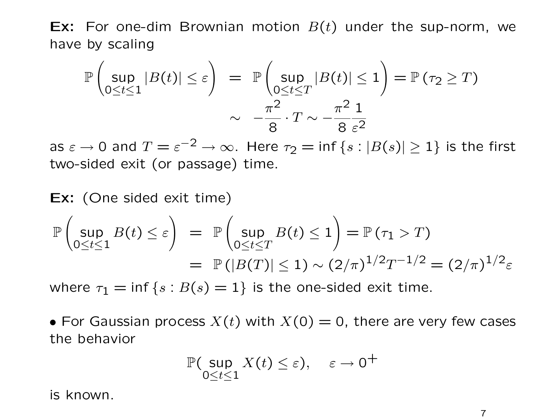**Ex:** For one-dim Brownian motion  $B(t)$  under the sup-norm, we have by scaling

$$
\mathbb{P}\left(\sup_{0\leq t\leq 1}|B(t)|\leq \varepsilon\right) = \mathbb{P}\left(\sup_{0\leq t\leq T}|B(t)|\leq 1\right) = \mathbb{P}\left(\tau_2\geq T\right)
$$

$$
\sim \frac{\pi^2}{8}\cdot T \sim -\frac{\pi^2}{8}\frac{1}{\varepsilon^2}
$$

as  $\varepsilon \to 0$  and  $T=\varepsilon^{-2} \to \infty$ . Here  $\tau_2 = \inf\left\{s: |B(s)| \geq 1\right\}$  is the first two-sided exit (or passage) time.

Ex: (One sided exit time)

$$
\mathbb{P}\left(\sup_{0\leq t\leq 1} B(t) \leq \varepsilon\right) = \mathbb{P}\left(\sup_{0\leq t\leq T} B(t) \leq 1\right) = \mathbb{P}(\tau_1 > T)
$$
  
=  $\mathbb{P}(|B(T)| \leq 1) \sim (2/\pi)^{1/2}T^{-1/2} = (2/\pi)^{1/2}\varepsilon$ 

where  $\tau_1 = \inf \{ s : B(s) = 1 \}$  is the one-sided exit time.

• For Gaussian process  $X(t)$  with  $X(0) = 0$ , there are very few cases the behavior

$$
\mathbb{P}(\sup_{0\leq t\leq 1}X(t)\leq \varepsilon),\quad \varepsilon\to 0^+
$$

is known.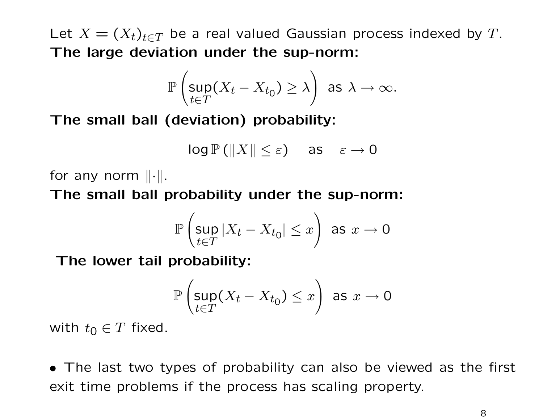Let  $X = (X_t)_{t \in T}$  be a real valued Gaussian process indexed by T. The large deviation under the sup-norm:

$$
\mathbb{P}\left(\sup_{t\in T}(X_t - X_{t_0}) \geq \lambda\right) \text{ as } \lambda \to \infty.
$$

The small ball (deviation) probability:

$$
\log \mathbb{P}\left(\|X\| \leq \varepsilon\right) \quad \text{as} \quad \varepsilon \to 0
$$

for any norm  $\|\cdot\|.$ 

The small ball probability under the sup-norm:

$$
\mathbb{P}\left(\sup_{t\in T}|X_t-X_{t_0}|\leq x\right) \text{ as } x\to 0
$$

The lower tail probability:

$$
\mathbb{P}\left(\sup_{t\in T}(X_t - X_{t_0}) \leq x\right) \text{ as } x \to 0
$$

with  $t_0 \in T$  fixed.

• The last two types of probability can also be viewed as the first exit time problems if the process has scaling property.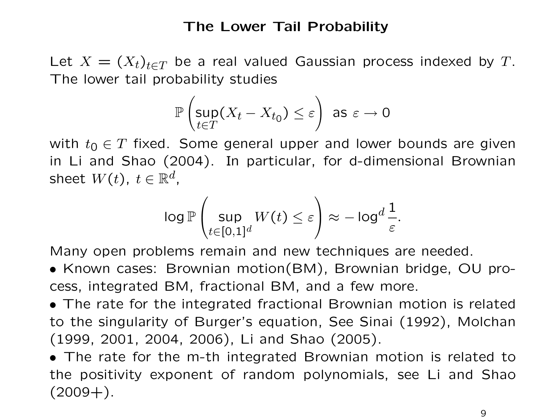### The Lower Tail Probability

Let  $X = (X_t)_{t \in T}$  be a real valued Gaussian process indexed by T. The lower tail probability studies

$$
\mathbb{P}\left(\sup_{t\in T}(X_t - X_{t_0}) \le \varepsilon\right) \text{ as } \varepsilon \to 0
$$

with  $t_0 \in T$  fixed. Some general upper and lower bounds are given in Li and Shao (2004). In particular, for d-dimensional Brownian sheet  $W(t)$ ,  $t\in \mathbb{R}^d$ ,

$$
\log \mathbb{P}\left(\sup_{t\in [0,1]^d} W(t)\leq \varepsilon\right)\approx -\log^d \frac{1}{\varepsilon}.
$$

Many open problems remain and new techniques are needed.

- Known cases: Brownian motion(BM), Brownian bridge, OU process, integrated BM, fractional BM, and a few more.
- The rate for the integrated fractional Brownian motion is related to the singularity of Burger's equation, See Sinai (1992), Molchan (1999, 2001, 2004, 2006), Li and Shao (2005).

• The rate for the m-th integrated Brownian motion is related to the positivity exponent of random polynomials, see Li and Shao  $(2009+).$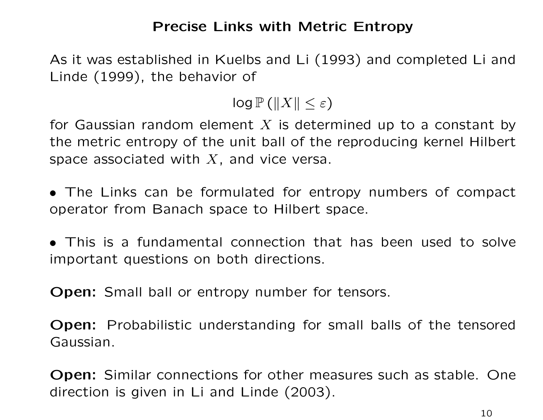## Precise Links with Metric Entropy

As it was established in Kuelbs and Li (1993) and completed Li and Linde (1999), the behavior of

 $log P (||X|| \leq \varepsilon)$ 

for Gaussian random element  $X$  is determined up to a constant by the metric entropy of the unit ball of the reproducing kernel Hilbert space associated with  $X$ , and vice versa.

• The Links can be formulated for entropy numbers of compact operator from Banach space to Hilbert space.

• This is a fundamental connection that has been used to solve important questions on both directions.

**Open:** Small ball or entropy number for tensors.

Open: Probabilistic understanding for small balls of the tensored Gaussian.

Open: Similar connections for other measures such as stable. One direction is given in Li and Linde (2003).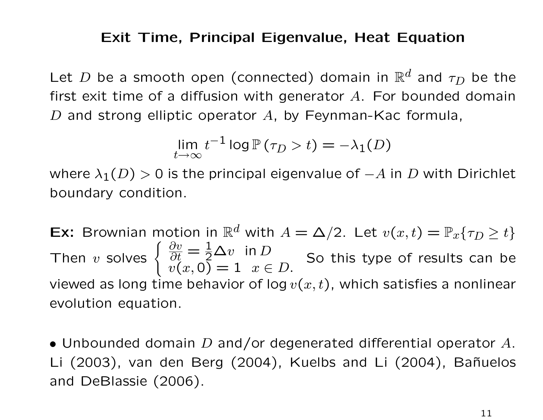### Exit Time, Principal Eigenvalue, Heat Equation

Let D be a smooth open (connected) domain in  $\mathbb{R}^d$  and  $\tau_D$  be the first exit time of a diffusion with generator  $A$ . For bounded domain D and strong elliptic operator  $A$ , by Feynman-Kac formula,

$$
\lim_{t \to \infty} t^{-1} \log \mathbb{P}(\tau_D > t) = -\lambda_1(D)
$$

where  $\lambda_1(D) > 0$  is the principal eigenvalue of  $-A$  in D with Dirichlet boundary condition.

**Ex:** Brownian motion in  $\mathbb{R}^d$  with  $A = \Delta/2$ . Let  $v(x,t) = \mathbb{P}_x\{\tau_D \geq t\}$ Then v solves  $\begin{cases} \frac{\partial v}{\partial t} = \frac{1}{2} \Delta v \text{ in } D \end{cases}$  $v(x, 0) = 1 \quad x \in D.$ So this type of results can be viewed as long time behavior of log  $v(x, t)$ , which satisfies a nonlinear evolution equation.

• Unbounded domain  $D$  and/or degenerated differential operator  $A$ . Li (2003), van den Berg (2004), Kuelbs and Li (2004), Bañuelos and DeBlassie (2006).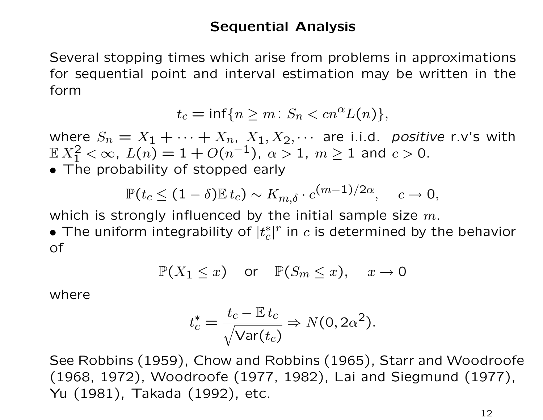### Sequential Analysis

Several stopping times which arise from problems in approximations for sequential point and interval estimation may be written in the form

$$
t_c = \inf\{n \ge m \colon S_n < cn^{\alpha}L(n)\},
$$

where  $S_n = X_1 + \cdots + X_n$ ,  $X_1, X_2, \cdots$  are i.i.d. positive r.v's with  $\mathbb{E} |X_1^2| < \infty$ ,  $L(n) = 1 + O(n^{-1})$ ,  $\alpha > 1$ ,  $m \ge 1$  and  $c > 0$ .

• The probability of stopped early

$$
\mathbb{P}(t_c \le (1-\delta)\mathbb{E} t_c) \sim K_{m,\delta} \cdot c^{(m-1)/2\alpha}, \quad c \to 0,
$$

which is strongly influenced by the initial sample size  $m$ .

• The uniform integrability of  $|t_c^*|$  $\frac{k}{c}$  in  $c$  is determined by the behavior of

$$
\mathbb{P}(X_1 \le x) \quad \text{or} \quad \mathbb{P}(S_m \le x), \quad x \to 0
$$

where

$$
t_c^* = \frac{t_c - \mathbb{E} t_c}{\sqrt{\text{Var}(t_c)}} \Rightarrow N(0, 2\alpha^2).
$$

See Robbins (1959), Chow and Robbins (1965), Starr and Woodroofe (1968, 1972), Woodroofe (1977, 1982), Lai and Siegmund (1977), Yu (1981), Takada (1992), etc.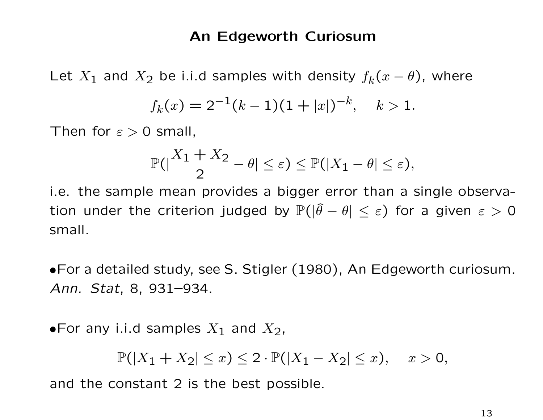#### An Edgeworth Curiosum

Let  $X_1$  and  $X_2$  be i.i.d samples with density  $f_k(x - \theta)$ , where

$$
f_k(x) = 2^{-1}(k-1)(1+|x|)^{-k}, \quad k > 1.
$$

Then for  $\varepsilon > 0$  small,

$$
\mathbb{P}(|\frac{X_1+X_2}{2}-\theta|\leq \varepsilon)\leq \mathbb{P}(|X_1-\theta|\leq \varepsilon),
$$

i.e. the sample mean provides a bigger error than a single observation under the criterion judged by  $\mathbb{P}(|\hat{\theta} - \theta| \leq \varepsilon)$  for a given  $\varepsilon > 0$ small.

•For a detailed study, see S. Stigler (1980), An Edgeworth curiosum. Ann. Stat, 8, 931–934.

•For any i.i.d samples 
$$
X_1
$$
 and  $X_2$ ,

$$
\mathbb{P}(|X_1 + X_2| \le x) \le 2 \cdot \mathbb{P}(|X_1 - X_2| \le x), \quad x > 0,
$$

and the constant 2 is the best possible.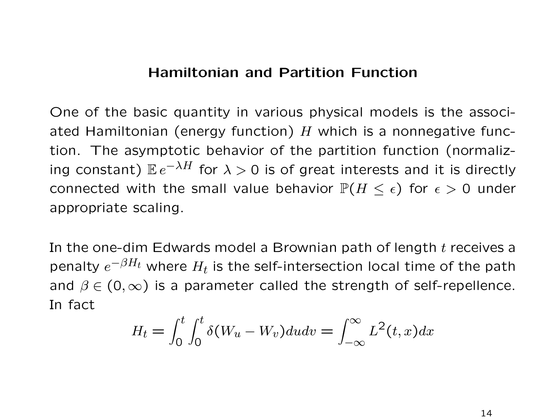#### Hamiltonian and Partition Function

One of the basic quantity in various physical models is the associated Hamiltonian (energy function)  $H$  which is a nonnegative function. The asymptotic behavior of the partition function (normalizing constant)  $\mathbb{E}\, e^{-\lambda H}$  for  $\lambda > 0$  is of great interests and it is directly connected with the small value behavior  $\mathbb{P}(H \leq \epsilon)$  for  $\epsilon > 0$  under appropriate scaling.

In the one-dim Edwards model a Brownian path of length  $t$  receives a penalty  $e^{-\beta H_t}$  where  $H_t$  is the self-intersection local time of the path and  $\beta \in (0,\infty)$  is a parameter called the strength of self-repellence. In fact

$$
H_t = \int_0^t \int_0^t \delta(W_u - W_v) du dv = \int_{-\infty}^\infty L^2(t, x) dx
$$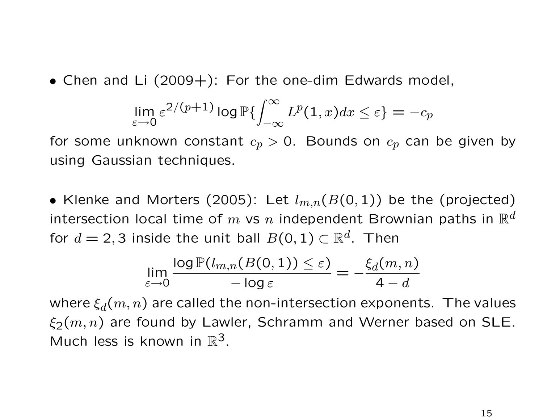• Chen and Li  $(2009+)$ : For the one-dim Edwards model,

$$
\lim_{\varepsilon \to 0} \varepsilon^{2/(p+1)} \log \mathbb{P}\left\{ \int_{-\infty}^{\infty} L^p(1, x) dx \le \varepsilon \right\} = -c_p
$$

for some unknown constant  $c_p > 0$ . Bounds on  $c_p$  can be given by using Gaussian techniques.

• Klenke and Morters (2005): Let  $l_{m,n}(B(0,1))$  be the (projected) intersection local time of  $m$  vs  $n$  independent Brownian paths in  $\mathbb{R}^d$ for  $d = 2, 3$  inside the unit ball  $B(0, 1) \subset \mathbb{R}^d$ . Then

$$
\lim_{\varepsilon \to 0} \frac{\log \mathbb{P}(l_{m,n}(B(0,1)) \le \varepsilon)}{-\log \varepsilon} = -\frac{\xi_d(m,n)}{4-d}
$$

where  $\xi_d(m, n)$  are called the non-intersection exponents. The values  $\xi_2(m, n)$  are found by Lawler, Schramm and Werner based on SLE. Much less is known in  $\mathbb{R}^3$ .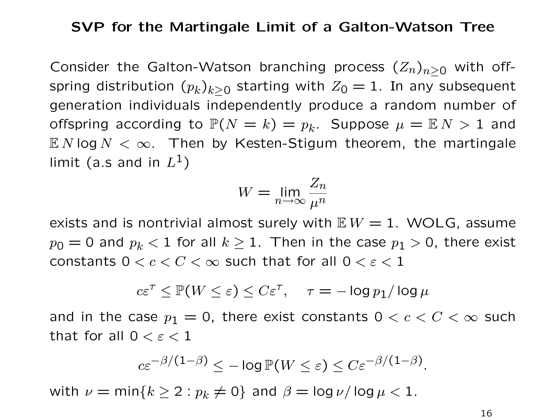#### SVP for the Martingale Limit of a Galton-Watson Tree

Consider the Galton-Watson branching process  $(Z_n)_{n>0}$  with offspring distribution  $(p_k)_{k>0}$  starting with  $Z_0 = 1$ . In any subsequent generation individuals independently produce a random number of offspring according to  $\mathbb{P}(N = k) = p_k$ . Suppose  $\mu = \mathbb{E} N > 1$  and  $E N log N < \infty$ . Then by Kesten-Stigum theorem, the martingale limit (a.s and in  $L^1$ )

$$
W = \lim_{n \to \infty} \frac{Z_n}{\mu^n}
$$

exists and is nontrivial almost surely with  $E W = 1$ . WOLG, assume  $p_0 = 0$  and  $p_k < 1$  for all  $k \ge 1$ . Then in the case  $p_1 > 0$ , there exist constants  $0 < c < C < \infty$  such that for all  $0 < \varepsilon < 1$ 

$$
c\varepsilon^{\tau} \le \mathbb{P}(W \le \varepsilon) \le C\varepsilon^{\tau}, \quad \tau = -\log p_1/\log \mu
$$

and in the case  $p_1 = 0$ , there exist constants  $0 < c < C < \infty$  such that for all  $0 < \varepsilon < 1$ 

$$
c\varepsilon^{-\beta/(1-\beta)} \leq -\log \mathbb{P}(W \leq \varepsilon) \leq C\varepsilon^{-\beta/(1-\beta)}.
$$

with  $\nu = \min\{k \geq 2 : p_k \neq 0\}$  and  $\beta = \log \nu / \log \mu < 1$ .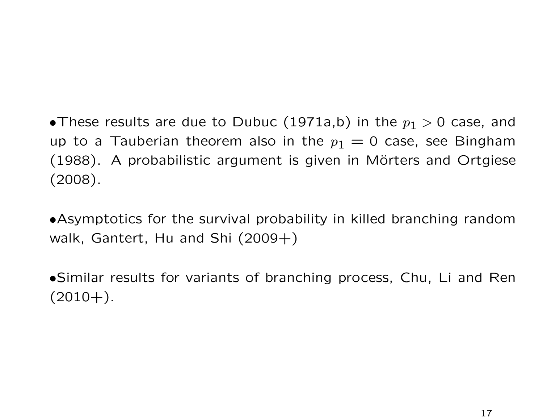•These results are due to Dubuc (1971a,b) in the  $p_1 > 0$  case, and up to a Tauberian theorem also in the  $p_1 = 0$  case, see Bingham  $(1988)$ . A probabilistic argument is given in Mörters and Ortgiese (2008).

•Asymptotics for the survival probability in killed branching random walk, Gantert, Hu and Shi (2009+)

•Similar results for variants of branching process, Chu, Li and Ren  $(2010+)$ .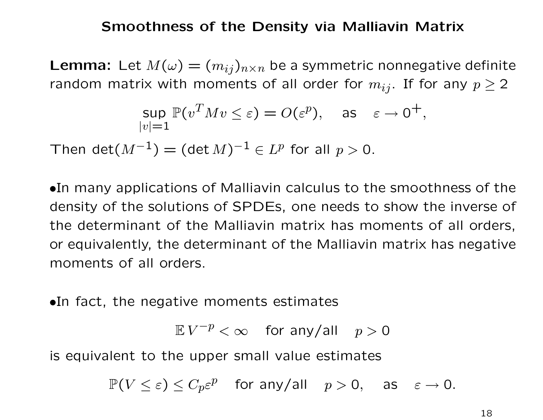### Smoothness of the Density via Malliavin Matrix

**Lemma:** Let  $M(\omega) = (m_{ij})_{n \times n}$  be a symmetric nonnegative definite random matrix with moments of all order for  $m_{ij}$ . If for any  $p \ge 2$ 

$$
\sup_{|v|=1} \mathbb{P}(v^T M v \le \varepsilon) = O(\varepsilon^p), \quad \text{as} \quad \varepsilon \to 0^+,
$$

Then det $(M^{-1}) = (\det M)^{-1} \in L^p$  for all  $p > 0$ .

•In many applications of Malliavin calculus to the smoothness of the density of the solutions of SPDEs, one needs to show the inverse of the determinant of the Malliavin matrix has moments of all orders, or equivalently, the determinant of the Malliavin matrix has negative moments of all orders.

•In fact, the negative moments estimates

 $E V^{-p} < \infty$  for any/all  $p > 0$ 

is equivalent to the upper small value estimates

 $\mathbb{P}(V \leq \varepsilon) \leq C_p \varepsilon^p$  for any/all  $p > 0$ , as  $\varepsilon \to 0$ .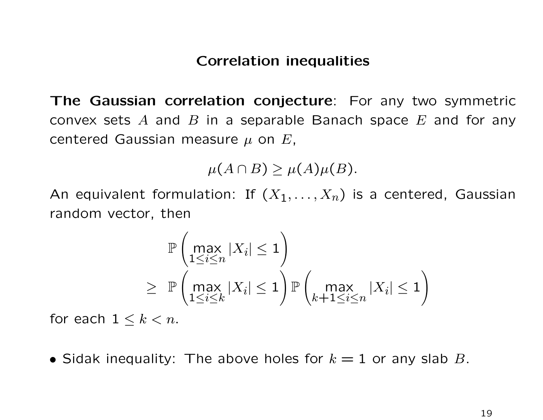The Gaussian correlation conjecture: For any two symmetric convex sets  $A$  and  $B$  in a separable Banach space  $E$  and for any centered Gaussian measure  $\mu$  on  $E$ ,

 $\mu(A \cap B) \geq \mu(A)\mu(B).$ 

An equivalent formulation: If  $(X_1, \ldots, X_n)$  is a centered, Gaussian random vector, then

$$
\mathbb{P}\left(\max_{1\leq i\leq n}|X_i|\leq 1\right)
$$
  
\n
$$
\geq \mathbb{P}\left(\max_{1\leq i\leq k}|X_i|\leq 1\right)\mathbb{P}\left(\max_{k+1\leq i\leq n}|X_i|\leq 1\right)
$$

for each  $1 \leq k < n$ .

• Sidak inequality: The above holes for  $k = 1$  or any slab B.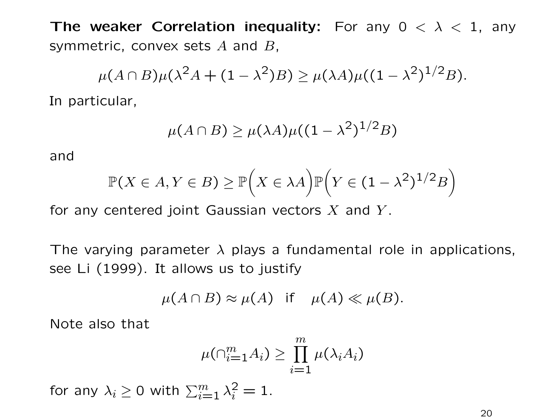**The weaker Correlation inequality:** For any  $0 < \lambda < 1$ , any symmetric, convex sets  $A$  and  $B$ ,

$$
\mu(A\cap B)\mu(\lambda^2A + (1-\lambda^2)B) \geq \mu(\lambda A)\mu((1-\lambda^2)^{1/2}B).
$$

In particular,

$$
\mu(A \cap B) \ge \mu(\lambda A)\mu((1 - \lambda^2)^{1/2}B)
$$

and

$$
\mathbb{P}(X \in A, Y \in B) \ge \mathbb{P}\left(X \in \lambda A\right) \mathbb{P}\left(Y \in (1 - \lambda^2)^{1/2} B\right)
$$

for any centered joint Gaussian vectors  $X$  and  $Y$ .

The varying parameter  $\lambda$  plays a fundamental role in applications, see Li (1999). It allows us to justify

$$
\mu(A \cap B) \approx \mu(A)
$$
 if  $\mu(A) \ll \mu(B)$ .

Note also that

$$
\mu(\cap_{i=1}^m A_i) \ge \prod_{i=1}^m \mu(\lambda_i A_i)
$$

for any  $\lambda_i \geq 0$  with  $\sum_{i=1}^m \lambda_i^2 = 1$ .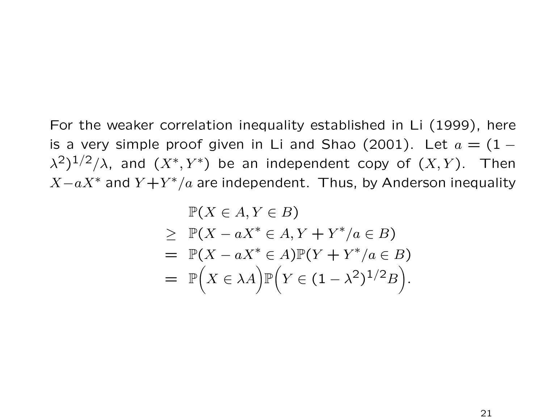For the weaker correlation inequality established in Li (1999), here is a very simple proof given in Li and Shao (2001). Let  $a = (1 (\lambda^2)^{1/2}/\lambda$ , and  $(X^*,Y^*)$  be an independent copy of  $(X,Y)$ . Then  $X-aX^*$  and  $Y+Y^*/a$  are independent. Thus, by Anderson inequality

$$
\mathbb{P}(X \in A, Y \in B)
$$
  
\n
$$
\geq \mathbb{P}(X - aX^* \in A, Y + Y^*/a \in B)
$$
  
\n
$$
= \mathbb{P}(X - aX^* \in A)\mathbb{P}(Y + Y^*/a \in B)
$$
  
\n
$$
= \mathbb{P}\Big(X \in \lambda A\Big)\mathbb{P}\Big(Y \in (1 - \lambda^2)^{1/2}B\Big).
$$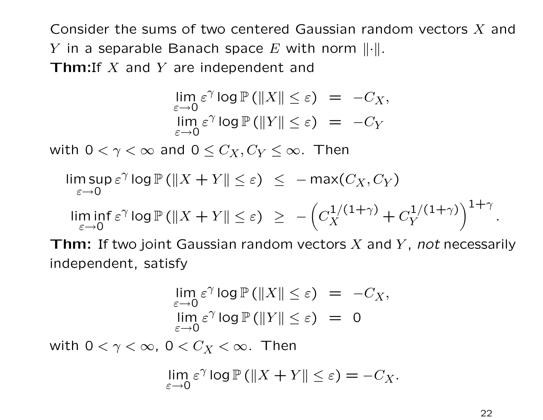Consider the sums of two centered Gaussian random vectors  $X$  and Y in a separable Banach space E with norm  $\lVert \cdot \rVert$ . **Thm:**If  $X$  and  $Y$  are independent and

$$
\lim_{\varepsilon \to 0} \varepsilon^{\gamma} \log \mathbb{P} \left( \|X\| \le \varepsilon \right) = -C_X,
$$
  

$$
\lim_{\varepsilon \to 0} \varepsilon^{\gamma} \log \mathbb{P} \left( \|Y\| \le \varepsilon \right) = -C_Y
$$

with  $0 < \gamma < \infty$  and  $0 \le C_X, C_Y \le \infty$ . Then

$$
\limsup_{\varepsilon \to 0} \varepsilon^{\gamma} \log \mathbb{P} \left( \|X + Y\| \le \varepsilon \right) \le -\max(C_X, C_Y)
$$
\n
$$
\liminf_{\varepsilon \to 0} \varepsilon^{\gamma} \log \mathbb{P} \left( \|X + Y\| \le \varepsilon \right) \ge -\left( C_X^{1/(1+\gamma)} + C_Y^{1/(1+\gamma)} \right)^{1+\gamma}.
$$

**Thm:** If two joint Gaussian random vectors  $X$  and  $Y$ , not necessarily independent, satisfy

$$
\lim_{\varepsilon \to 0} \varepsilon^{\gamma} \log \mathbb{P} \left( \|X\| \le \varepsilon \right) = -C_X,
$$
  

$$
\lim_{\varepsilon \to 0} \varepsilon^{\gamma} \log \mathbb{P} \left( \|Y\| \le \varepsilon \right) = 0
$$

with  $0 < \gamma < \infty$ ,  $0 < C_X < \infty$ . Then

$$
\lim_{\varepsilon \to 0} \varepsilon^{\gamma} \log \mathbb{P} \left( \|X + Y\| \le \varepsilon \right) = -C_X.
$$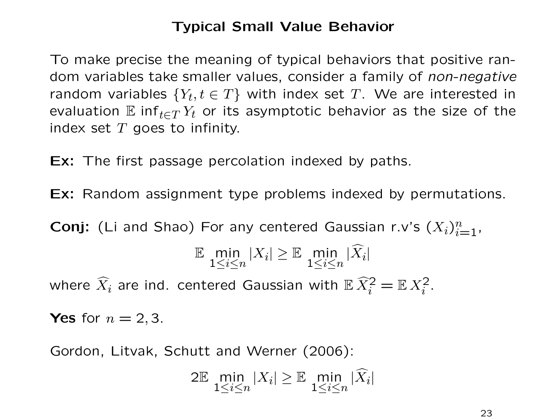## Typical Small Value Behavior

To make precise the meaning of typical behaviors that positive random variables take smaller values, consider a family of non-negative random variables  $\{Y_t, t \in T\}$  with index set T. We are interested in evaluation E inf<sub>t∈T</sub>  $Y_t$  or its asymptotic behavior as the size of the index set  $T$  goes to infinity.

Ex: The first passage percolation indexed by paths.

Ex: Random assignment type problems indexed by permutations.

**Conj:** (Li and Shao) For any centered Gaussian r.v's  $(X_i)_{i=1}^n$ ,

$$
\mathbb{E} \min_{1 \le i \le n} |X_i| \ge \mathbb{E} \min_{1 \le i \le n} |\widehat{X}_i|
$$

where  $\widehat{X}_i$  are ind. centered Gaussian with  $\mathbb{E} \, \widehat{X}_i^2 = \mathbb{E} \, X_i^2.$ 

**Yes** for  $n = 2, 3$ .

Gordon, Litvak, Schutt and Werner (2006):

$$
2\mathbb{E}\min_{1\leq i\leq n}|X_i|\geq \mathbb{E}\min_{1\leq i\leq n}|\widehat{X}_i|
$$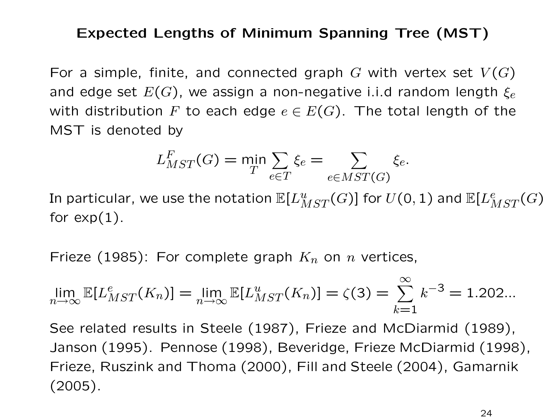### Expected Lengths of Minimum Spanning Tree (MST)

For a simple, finite, and connected graph G with vertex set  $V(G)$ and edge set  $E(G)$ , we assign a non-negative i.i.d random length  $\xi_e$ with distribution F to each edge  $e \in E(G)$ . The total length of the MST is denoted by

$$
L_{MST}^F(G) = \min_T \sum_{e \in T} \xi_e = \sum_{e \in MST(G)} \xi_e.
$$

In particular, we use the notation  $\mathbb{E}[L^u_{MST}(G)]$  for  $U(\mathsf{0},\mathsf{1})$  and  $\mathbb{E}[L^e_{MST}(G)]$ for  $exp(1)$ .

Frieze (1985): For complete graph  $K_n$  on n vertices,

$$
\lim_{n \to \infty} \mathbb{E}[L_{MST}^e(K_n)] = \lim_{n \to \infty} \mathbb{E}[L_{MST}^u(K_n)] = \zeta(3) = \sum_{k=1}^{\infty} k^{-3} = 1.202...
$$

See related results in Steele (1987), Frieze and McDiarmid (1989), Janson (1995). Pennose (1998), Beveridge, Frieze McDiarmid (1998), Frieze, Ruszink and Thoma (2000), Fill and Steele (2004), Gamarnik (2005).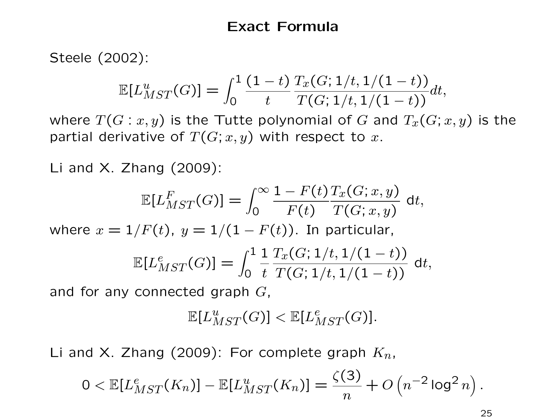### Exact Formula

Steele (2002):

$$
\mathbb{E}[L^u_{MST}(G)]=\int_0^1\frac{(1-t)}{t}\frac{T_x(G;1/t,1/(1-t))}{T(G;1/t,1/(1-t))}dt,
$$

where  $T(G: x, y)$  is the Tutte polynomial of G and  $T_x(G; x, y)$  is the partial derivative of  $T(G; x, y)$  with respect to x.

Li and  $X$ . Zhang  $(2009)$ :

$$
\mathbb{E}[L_{MST}^F(G)] = \int_0^\infty \frac{1 - F(t)T_x(G; x, y)}{F(t) - T(G; x, y)} dt,
$$
  
where  $x = 1/F(t)$ ,  $y = 1/(1 - F(t))$ . In particular,  

$$
\mathbb{E}[L_{MST}^e(G)] = \int_0^1 \frac{1}{t} \frac{T_x(G; 1/t, 1/(1-t))}{T(G; 1/t, 1/(1-t))} dt,
$$

and for any connected graph  $G$ ,

$$
\mathbb{E}[L^u_{MST}(G)] < \mathbb{E}[L^e_{MST}(G)].
$$

Li and X. Zhang (2009): For complete graph  $K_n$ ,

$$
0 < \mathbb{E}[L_{MST}^e(K_n)] - \mathbb{E}[L_{MST}^u(K_n)] = \frac{\zeta(3)}{n} + O\left(n^{-2}\log^2 n\right).
$$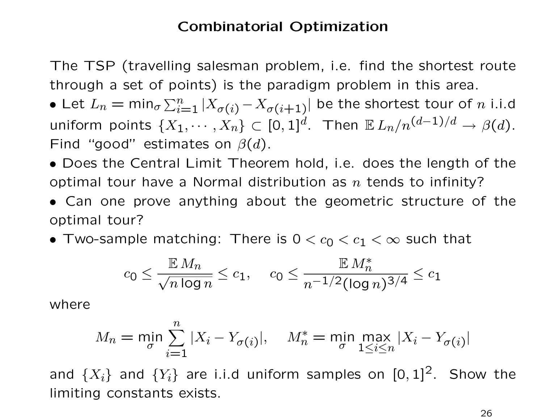## Combinatorial Optimization

The TSP (travelling salesman problem, i.e. find the shortest route through a set of points) is the paradigm problem in this area.

• Let  $L_n = \mathsf{min}_\sigma \sum_{i=1}^n |X_{\sigma(i)} - X_{\sigma(i+1)}|$  be the shortest tour of  $n$  i.i.d uniform points  $\{X_1, \cdots, X_n\} \subset [0,1]^d$ . Then  $\mathbb{E}\, L_n/n^{(d-1)/d} \to \beta(d).$ Find "good" estimates on  $\beta(d)$ .

• Does the Central Limit Theorem hold, i.e. does the length of the optimal tour have a Normal distribution as  $n$  tends to infinity?

• Can one prove anything about the geometric structure of the optimal tour?

• Two-sample matching: There is  $0 < c_0 < c_1 < \infty$  such that

$$
c_0 \le \frac{\mathbb{E} M_n}{\sqrt{n \log n}} \le c_1, \quad c_0 \le \frac{\mathbb{E} M_n^*}{n^{-1/2} (\log n)^{3/4}} \le c_1
$$

where

$$
M_n = \min_{\sigma} \sum_{i=1}^n |X_i - Y_{\sigma(i)}|, \quad M_n^* = \min_{\sigma} \max_{1 \le i \le n} |X_i - Y_{\sigma(i)}|
$$

and  $\{X_i\}$  and  $\{Y_i\}$  are i.i.d uniform samples on  $[0, 1]^2$ . Show the limiting constants exists.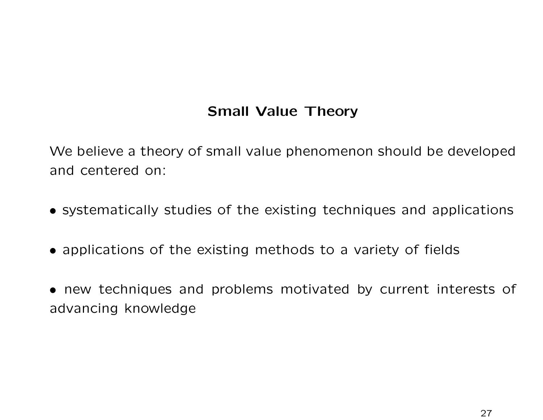## Small Value Theory

We believe a theory of small value phenomenon should be developed and centered on:

- systematically studies of the existing techniques and applications
- applications of the existing methods to a variety of fields
- new techniques and problems motivated by current interests of advancing knowledge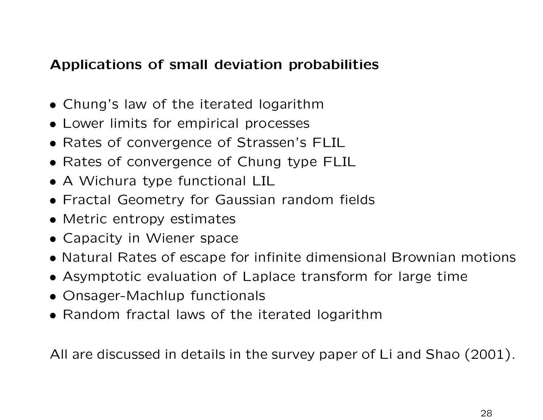## Applications of small deviation probabilities

- Chung's law of the iterated logarithm
- Lower limits for empirical processes
- Rates of convergence of Strassen's FLIL
- Rates of convergence of Chung type FLIL
- A Wichura type functional LIL
- Fractal Geometry for Gaussian random fields
- Metric entropy estimates
- Capacity in Wiener space
- Natural Rates of escape for infinite dimensional Brownian motions
- Asymptotic evaluation of Laplace transform for large time
- Onsager-Machlup functionals
- Random fractal laws of the iterated logarithm

All are discussed in details in the survey paper of Li and Shao (2001).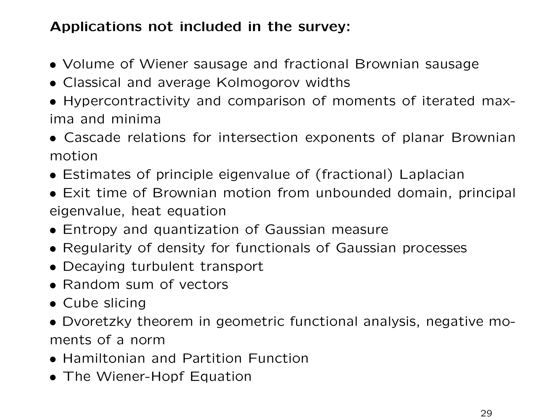# Applications not included in the survey:

- Volume of Wiener sausage and fractional Brownian sausage
- Classical and average Kolmogorov widths
- Hypercontractivity and comparison of moments of iterated maxima and minima
- Cascade relations for intersection exponents of planar Brownian motion
- Estimates of principle eigenvalue of (fractional) Laplacian
- Exit time of Brownian motion from unbounded domain, principal eigenvalue, heat equation
- Entropy and quantization of Gaussian measure
- Regularity of density for functionals of Gaussian processes
- Decaying turbulent transport
- Random sum of vectors
- Cube slicing
- Dvoretzky theorem in geometric functional analysis, negative moments of a norm
- Hamiltonian and Partition Function
- The Wiener-Hopf Equation